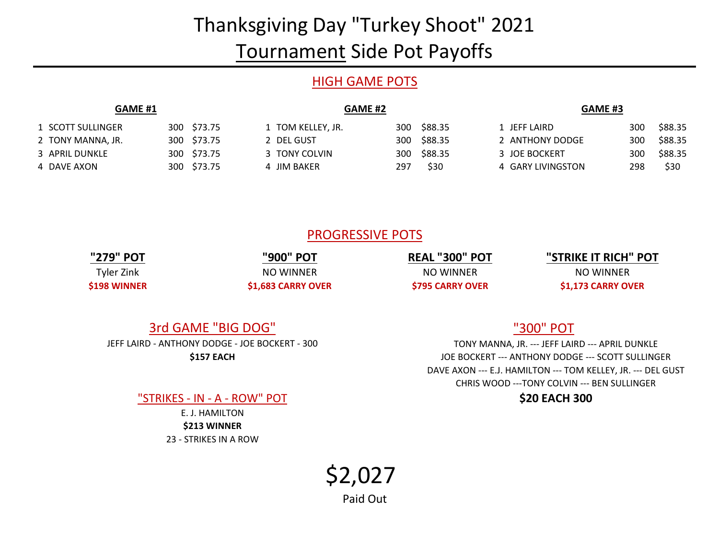# Thanksgiving Day "Turkey Shoot" 2021 Tournament Side Pot Payoffs

# HIGH GAME POTS

| <b>GAME #1</b>    |  |             | <b>GAME #2</b>    |     |             |  | GAME #3           |  |     |         |
|-------------------|--|-------------|-------------------|-----|-------------|--|-------------------|--|-----|---------|
| 1 SCOTT SULLINGER |  | 300 \$73.75 | 1 TOM KELLEY, JR. |     | 300 \$88.35 |  | 1 JEFF LAIRD      |  | 300 | \$88.35 |
| 2 TONY MANNA, JR. |  | 300 \$73.75 | 2 DEL GUST        |     | 300 \$88.35 |  | 2 ANTHONY DODGE   |  | 300 | \$88.35 |
| 3 APRIL DUNKLE    |  | 300 \$73.75 | 3 TONY COLVIN     |     | 300 \$88.35 |  | 3 JOE BOCKERT     |  | 300 | \$88.35 |
| 4 DAVE AXON       |  | 300 \$73.75 | 4 JIM BAKER       | 297 | \$30        |  | 4 GARY LIVINGSTON |  | 298 | \$30    |

# PROGRESSIVE POTS

**"279" POT** Tyler Zink **\$198 WINNER**

**"900" POT** NO WINNER **\$1,683 CARRY OVER** **REAL "300" POT** NO WINNER **\$795 CARRY OVER**

### **"STRIKE IT RICH" POT** NO WINNER **\$1,173 CARRY OVER**

# 3rd GAME "BIG DOG"

**\$157 EACH** JEFF LAIRD - ANTHONY DODGE - JOE BOCKERT - 300

"STRIKES - IN - A - ROW" POT **\$20 EACH 300**

23 - STRIKES IN A ROW **\$213 WINNER** E. J. HAMILTON

# "300" POT

DAVE AXON --- E.J. HAMILTON --- TOM KELLEY, JR. --- DEL GUST CHRIS WOOD ---TONY COLVIN --- BEN SULLINGER TONY MANNA, JR. --- JEFF LAIRD --- APRIL DUNKLE JOE BOCKERT --- ANTHONY DODGE --- SCOTT SULLINGER

\$2,027

Paid Out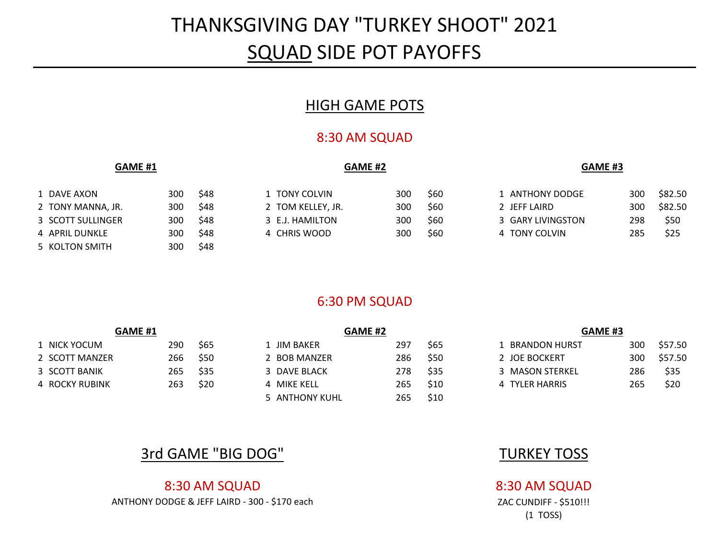# THANKSGIVING DAY "TURKEY SHOOT" 2021 SQUAD SIDE POT PAYOFFS

# HIGH GAME POTS

# 8:30 AM SQUAD

### **GAME #1 GAME #2 GAME #3**

| 1 DAVE AXON       | 300   | \$48 |
|-------------------|-------|------|
| 2 TONY MANNA, JR. | 300   | \$48 |
| 3 SCOTT SULLINGER | 300   | \$48 |
| 4 APRIL DUNKLE    | 300   | \$48 |
| 5 KOLTON SMITH    | 300 l | \$48 |

| 1 TONY COLVIN     | 30 |
|-------------------|----|
| 2 TOM KELLEY, JR. | 30 |
| 3 F.J. HAMILTON   | 30 |
| 4 CHRIS WOOD      | 30 |

| 1 DAVE AXON       | 300 | \$48 | 1 TONY COLVIN     | 300 | \$60 | 1 ANTHONY DODGE   | 300  | \$82.50 |
|-------------------|-----|------|-------------------|-----|------|-------------------|------|---------|
| 2 TONY MANNA, JR. | 300 | \$48 | 2 TOM KELLEY, JR. | 300 | S60  | 2 JEFF LAIRD      | 300  | \$82.50 |
| 3 SCOTT SULLINGER | 300 | \$48 | 3 E.J. HAMILTON   | 300 | \$60 | 3 GARY LIVINGSTON | 298. | \$50    |
| 4 APRIL DUNKLE    | 300 | \$48 | 4 CHRIS WOOD      | 300 | \$60 | 4 TONY COLVIN     | 285. | \$25    |

# 6:30 PM SQUAD

| <b>GAME #1</b> |     |      | <b>GAME #2</b> |     |      | GAME <sub>#3</sub> |     |         |  |
|----------------|-----|------|----------------|-----|------|--------------------|-----|---------|--|
| 1 NICK YOCUM   | 290 | \$65 | L JIM BAKER    | 297 | \$65 | BRANDON HURST      | 300 | \$57.50 |  |
| 2 SCOTT MANZER | 266 | \$50 | 2 BOB MANZER   | 286 | \$50 | 2 JOE BOCKERT      | 300 | \$57.50 |  |
| 3 SCOTT BANIK  | 265 | \$35 | 3 DAVE BLACK   | 278 | \$35 | 3 MASON STERKEL    | 286 | \$35    |  |
| 4 ROCKY RUBINK | 263 | \$20 | 4 MIKE KELL    | 265 | \$10 | 4 TYLER HARRIS     | 265 | \$20    |  |
|                |     |      | 5 ANTHONY KUHL | 265 | \$10 |                    |     |         |  |

# **3rd GAME "BIG DOG" NAME AND STURKEY TOSS**

### 8:30 AM SQUAD 8:30 AM SQUAD ANTHONY DODGE & JEFF LAIRD - 300 - \$170 each ZAC CUNDIFF - \$510!!!

# (1 TOSS)